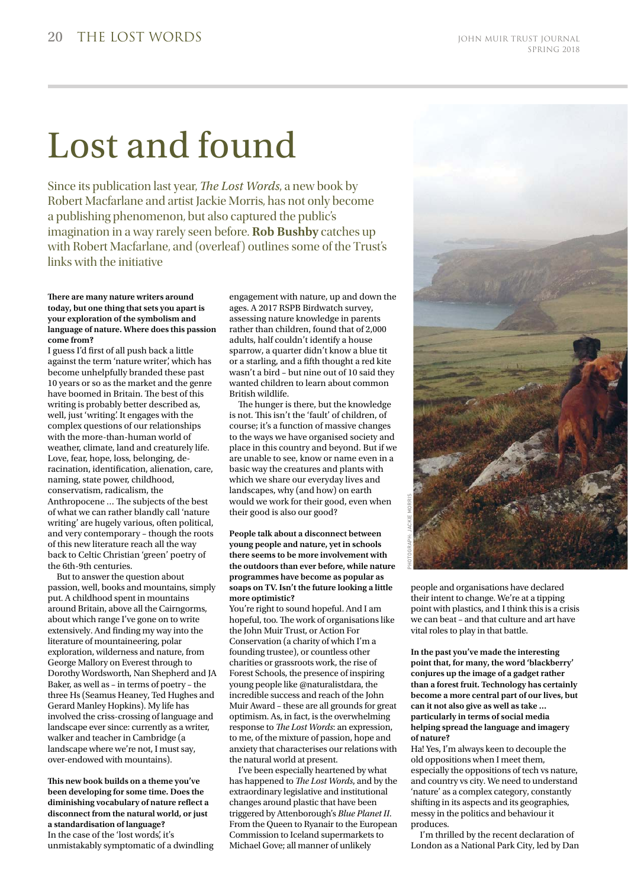## Lost and found

Since its publication last year, *The Lost Words*, a new book by Robert Macfarlane and artist Jackie Morris, has not only become a publishing phenomenon, but also captured the public's imagination in a way rarely seen before. **Rob Bushby** catches up with Robert Macfarlane, and (overleaf) outlines some of the Trust's links with the initiative

### **There are many nature writers around today, but one thing that sets you apart is your exploration of the symbolism and language of nature. Where does this passion come from?**

I guess I'd first of all push back a little against the term 'nature writer', which has become unhelpfully branded these past 10 years or so as the market and the genre have boomed in Britain. The best of this writing is probably better described as, well, just 'writing'. It engages with the complex questions of our relationships with the more-than-human world of weather, climate, land and creaturely life. Love, fear, hope, loss, belonging, deracination, identification, alienation, care, naming, state power, childhood, conservatism, radicalism, the Anthropocene … The subjects of the best of what we can rather blandly call 'nature writing' are hugely various, often political, and very contemporary – though the roots of this new literature reach all the way back to Celtic Christian 'green' poetry of the 6th-9th centuries.

But to answer the question about passion, well, books and mountains, simply put. A childhood spent in mountains around Britain, above all the Cairngorms, about which range I've gone on to write extensively. And finding my way into the literature of mountaineering, polar exploration, wilderness and nature, from George Mallory on Everest through to Dorothy Wordsworth, Nan Shepherd and JA Baker, as well as – in terms of poetry – the three Hs (Seamus Heaney, Ted Hughes and Gerard Manley Hopkins). My life has involved the criss-crossing of language and landscape ever since: currently as a writer, walker and teacher in Cambridge (a landscape where we're not, I must say, over-endowed with mountains).

**This new book builds on a theme you've been developing for some time. Does the diminishing vocabulary of nature reflect a disconnect from the natural world, or just a standardisation of language?** In the case of the 'lost words', it's unmistakably symptomatic of a dwindling

engagement with nature, up and down the ages. A 2017 RSPB Birdwatch survey, assessing nature knowledge in parents rather than children, found that of 2,000 adults, half couldn't identify a house sparrow, a quarter didn't know a blue tit or a starling, and a fifth thought a red kite wasn't a bird – but nine out of 10 said they wanted children to learn about common British wildlife.

The hunger is there, but the knowledge is not. This isn't the 'fault' of children, of course; it's a function of massive changes to the ways we have organised society and place in this country and beyond. But if we are unable to see, know or name even in a basic way the creatures and plants with which we share our everyday lives and landscapes, why (and how) on earth would we work for their good, even when their good is also our good?

#### **People talk about a disconnect between young people and nature, yet in schools there seems to be more involvement with the outdoors than ever before, while nature programmes have become as popular as soaps on TV. Isn't the future looking a little more optimistic?**

You're right to sound hopeful. And I am hopeful, too. The work of organisations like the John Muir Trust, or Action For Conservation (a charity of which I'm a founding trustee), or countless other charities or grassroots work, the rise of Forest Schools, the presence of inspiring young people like @naturalistdara, the incredible success and reach of the John Muir Award – these are all grounds for great optimism. As, in fact, is the overwhelming response to *The Lost Words*: an expression, to me, of the mixture of passion, hope and anxiety that characterises our relations with the natural world at present.

I've been especially heartened by what has happened to *The Lost Words*, and by the extraordinary legislative and institutional changes around plastic that have been triggered by Attenborough's *Blue Planet II*. From the Queen to Ryanair to the European Commission to Iceland supermarkets to Michael Gove; all manner of unlikely



people and organisations have declared their intent to change. We're at a tipping point with plastics, and I think this is a crisis we can beat – and that culture and art have vital roles to play in that battle.

**In the past you've made the interesting point that, for many, the word 'blackberry' conjures up the image of a gadget rather than a forest fruit. Technology has certainly become a more central part of our lives, but can it not also give as well as take … particularly in terms of social media helping spread the language and imagery of nature?** 

Ha! Yes, I'm always keen to decouple the old oppositions when I meet them, especially the oppositions of tech vs nature, and country vs city. We need to understand 'nature' as a complex category, constantly shifting in its aspects and its geographies, messy in the politics and behaviour it produces.

I'm thrilled by the recent declaration of London as a National Park City, led by Dan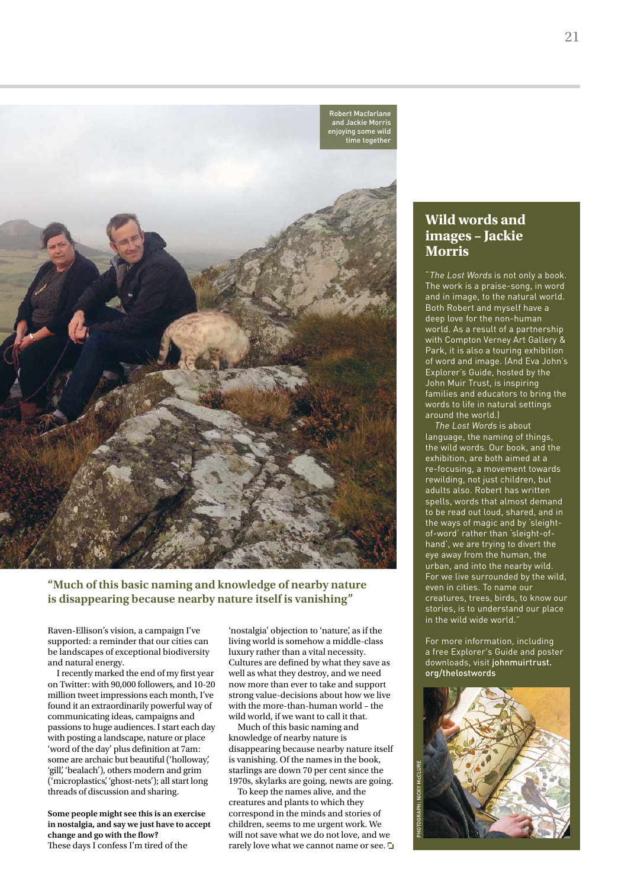

**"Much of this basic naming and knowledge of nearby nature is disappearing because nearby nature itself is vanishing"**

Raven-Ellison's vision, a campaign I've supported: a reminder that our cities can be landscapes of exceptional biodiversity and natural energy.

I recently marked the end of my first year on Twitter: with 90,000 followers, and 10-20 million tweet impressions each month, I've found it an extraordinarily powerful way of communicating ideas, campaigns and passions to huge audiences. I start each day with posting a landscape, nature or place 'word of the day' plus definition at 7am: some are archaic but beautiful ('holloway', 'gill', 'bealach'), others modern and grim ('microplastics', 'ghost-nets'); all start long threads of discussion and sharing.

**Some people might see this is an exercise in nostalgia, and say we just have to accept change and go with the flow?**  These days I confess I'm tired of the

'nostalgia' objection to 'nature', as if the living world is somehow a middle-class luxury rather than a vital necessity. Cultures are defined by what they save as well as what they destroy, and we need now more than ever to take and support strong value-decisions about how we live with the more-than-human world – the wild world, if we want to call it that.

Much of this basic naming and knowledge of nearby nature is disappearing because nearby nature itself is vanishing. Of the names in the book, starlings are down 70 per cent since the 1970s, skylarks are going, newts are going.

To keep the names alive, and the creatures and plants to which they correspond in the minds and stories of children, seems to me urgent work. We will not save what we do not love, and we rarely love what we cannot name or see.

### **Wild words and images – Jackie Morris**

"The Lost Words is not only a book. The work is a praise-song, in word and in image, to the natural world. Both Robert and myself have a deep love for the non-human world. As a result of a partnership with Compton Verney Art Gallery & Park, it is also a touring exhibition of word and image. (And Eva John's Explorer's Guide, hosted by the John Muir Trust, is inspiring families and educators to bring the words to life in natural settings around the world.)

The Lost Words is about language, the naming of things, the wild words. Our book, and the exhibition, are both aimed at a re-focusing, a movement towards rewilding, not just children, but adults also. Robert has written spells, words that almost demand to be read out loud, shared, and in the ways of magic and by 'sleightof-word' rather than 'sleight-ofhand', we are trying to divert the eye away from the human, the urban, and into the nearby wild. For we live surrounded by the wild, even in cities. To name our creatures, trees, birds, to know our stories, is to understand our place in the wild wide world."

For more information, including a free Explorer's Guide and poster downloads, visit johnmuirtrust. org/thelostwords